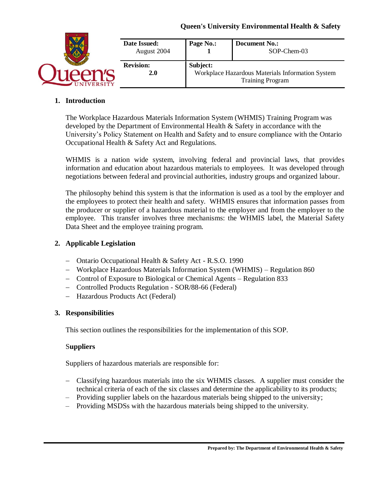|                 | Date Issued:<br>August 2004 | Page No.:                                                    | <b>Document No.:</b><br>SOP-Chem-03 |
|-----------------|-----------------------------|--------------------------------------------------------------|-------------------------------------|
|                 | <b>Revision:</b><br>2.0     | Subject:<br>Workplace Hazardous Materials Information System |                                     |
| <b>IVERSITY</b> |                             | <b>Training Program</b>                                      |                                     |

### **1. Introduction**

The Workplace Hazardous Materials Information System (WHMIS) Training Program was developed by the Department of Environmental Health & Safety in accordance with the University's Policy Statement on Health and Safety and to ensure compliance with the Ontario Occupational Health & Safety Act and Regulations.

WHMIS is a nation wide system, involving federal and provincial laws, that provides information and education about hazardous materials to employees. It was developed through negotiations between federal and provincial authorities, industry groups and organized labour.

The philosophy behind this system is that the information is used as a tool by the employer and the employees to protect their health and safety. WHMIS ensures that information passes from the producer or supplier of a hazardous material to the employer and from the employer to the employee. This transfer involves three mechanisms: the WHMIS label, the Material Safety Data Sheet and the employee training program.

### **2. Applicable Legislation**

- − Ontario Occupational Health & Safety Act R.S.O. 1990
- − Workplace Hazardous Materials Information System (WHMIS) Regulation 860
- − Control of Exposure to Biological or Chemical Agents Regulation 833
- − Controlled Products Regulation SOR/88-66 (Federal)
- − Hazardous Products Act (Federal)

#### **3. Responsibilities**

This section outlines the responsibilities for the implementation of this SOP.

#### S**uppliers**

Suppliers of hazardous materials are responsible for:

- − Classifying hazardous materials into the six WHMIS classes. A supplier must consider the technical criteria of each of the six classes and determine the applicability to its products;
- Providing supplier labels on the hazardous materials being shipped to the university;
- Providing MSDSs with the hazardous materials being shipped to the university.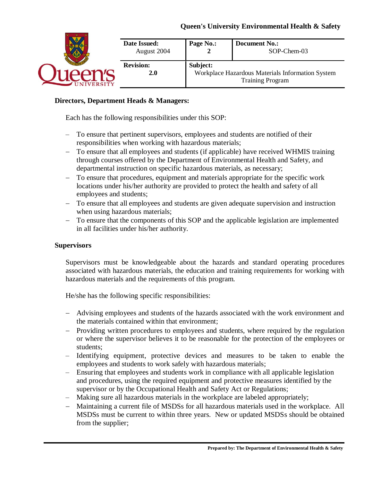| <b>IVERSITY</b> | Date Issued:<br>August 2004 | Page No.:                                                                               | <b>Document No.:</b><br>SOP-Chem-03 |
|-----------------|-----------------------------|-----------------------------------------------------------------------------------------|-------------------------------------|
|                 | <b>Revision:</b><br>2.0     | Subject:<br>Workplace Hazardous Materials Information System<br><b>Training Program</b> |                                     |

### **Directors, Department Heads & Managers:**

Each has the following responsibilities under this SOP:

- To ensure that pertinent supervisors, employees and students are notified of their responsibilities when working with hazardous materials;
- − To ensure that all employees and students (if applicable) have received WHMIS training through courses offered by the Department of Environmental Health and Safety, and departmental instruction on specific hazardous materials, as necessary;
- − To ensure that procedures, equipment and materials appropriate for the specific work locations under his/her authority are provided to protect the health and safety of all employees and students;
- − To ensure that all employees and students are given adequate supervision and instruction when using hazardous materials;
- − To ensure that the components of this SOP and the applicable legislation are implemented in all facilities under his/her authority.

#### **Supervisors**

Supervisors must be knowledgeable about the hazards and standard operating procedures associated with hazardous materials, the education and training requirements for working with hazardous materials and the requirements of this program.

He/she has the following specific responsibilities:

- − Advising employees and students of the hazards associated with the work environment and the materials contained within that environment;
- − Providing written procedures to employees and students, where required by the regulation or where the supervisor believes it to be reasonable for the protection of the employees or students;
- Identifying equipment, protective devices and measures to be taken to enable the employees and students to work safely with hazardous materials;
- Ensuring that employees and students work in compliance with all applicable legislation and procedures, using the required equipment and protective measures identified by the supervisor or by the Occupational Health and Safety Act or Regulations;
- Making sure all hazardous materials in the workplace are labeled appropriately;
- − Maintaining a current file of MSDSs for all hazardous materials used in the workplace. All MSDSs must be current to within three years. New or updated MSDSs should be obtained from the supplier;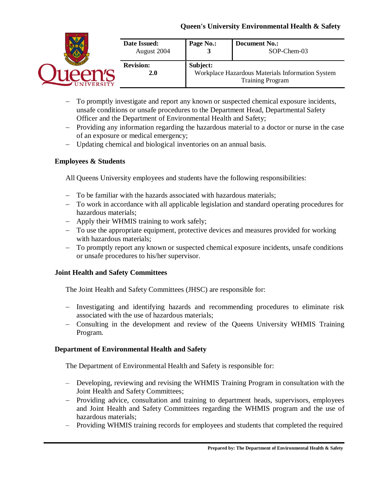|                | Date Issued:<br>August 2004 | Page No.:                                                    | <b>Document No.:</b><br>SOP-Chem-03 |
|----------------|-----------------------------|--------------------------------------------------------------|-------------------------------------|
|                | <b>Revision:</b><br>2.0     | Subject:<br>Workplace Hazardous Materials Information System |                                     |
| <b>VERSITY</b> |                             |                                                              | <b>Training Program</b>             |

- − To promptly investigate and report any known or suspected chemical exposure incidents, unsafe conditions or unsafe procedures to the Department Head, Departmental Safety Officer and the Department of Environmental Health and Safety;
- − Providing any information regarding the hazardous material to a doctor or nurse in the case of an exposure or medical emergency;
- − Updating chemical and biological inventories on an annual basis.

## **Employees & Students**

All Queens University employees and students have the following responsibilities:

- − To be familiar with the hazards associated with hazardous materials;
- − To work in accordance with all applicable legislation and standard operating procedures for hazardous materials;
- − Apply their WHMIS training to work safely;
- − To use the appropriate equipment, protective devices and measures provided for working with hazardous materials;
- − To promptly report any known or suspected chemical exposure incidents, unsafe conditions or unsafe procedures to his/her supervisor.

#### **Joint Health and Safety Committees**

The Joint Health and Safety Committees (JHSC) are responsible for:

- − Investigating and identifying hazards and recommending procedures to eliminate risk associated with the use of hazardous materials;
- − Consulting in the development and review of the Queens University WHMIS Training Program.

## **Department of Environmental Health and Safety**

The Department of Environmental Health and Safety is responsible for:

- Developing, reviewing and revising the WHMIS Training Program in consultation with the Joint Health and Safety Committees;
- − Providing advice, consultation and training to department heads, supervisors, employees and Joint Health and Safety Committees regarding the WHMIS program and the use of hazardous materials;
- Providing WHMIS training records for employees and students that completed the required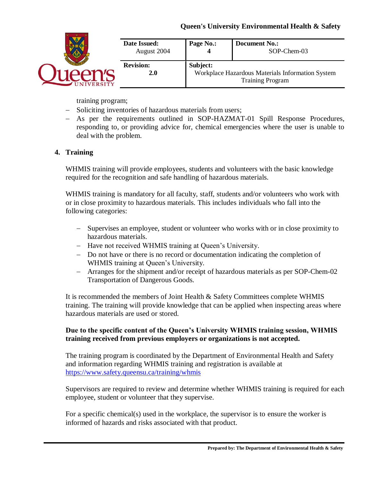| <b>NIVERSITY</b> | Date Issued:<br>August 2004 | Page No.:                                                                               | <b>Document No.:</b><br>SOP-Chem-03 |
|------------------|-----------------------------|-----------------------------------------------------------------------------------------|-------------------------------------|
|                  | <b>Revision:</b><br>2.0     | Subject:<br>Workplace Hazardous Materials Information System<br><b>Training Program</b> |                                     |

training program;

- − Soliciting inventories of hazardous materials from users;
- − As per the requirements outlined in SOP-HAZMAT-01 Spill Response Procedures, responding to, or providing advice for, chemical emergencies where the user is unable to deal with the problem.

## **4. Training**

WHMIS training will provide employees, students and volunteers with the basic knowledge required for the recognition and safe handling of hazardous materials.

WHMIS training is mandatory for all faculty, staff, students and/or volunteers who work with or in close proximity to hazardous materials. This includes individuals who fall into the following categories:

- − Supervises an employee, student or volunteer who works with or in close proximity to hazardous materials.
- − Have not received WHMIS training at Queen's University.
- − Do not have or there is no record or documentation indicating the completion of WHMIS training at Queen's University.
- − Arranges for the shipment and/or receipt of hazardous materials as per SOP-Chem-02 Transportation of Dangerous Goods.

It is recommended the members of Joint Health & Safety Committees complete WHMIS training. The training will provide knowledge that can be applied when inspecting areas where hazardous materials are used or stored.

## **Due to the specific content of the Queen's University WHMIS training session, WHMIS training received from previous employers or organizations is not accepted.**

The training program is coordinated by the Department of Environmental Health and Safety and information regarding WHMIS training and registration is available at <https://www.safety.queensu.ca/training/whmis>

Supervisors are required to review and determine whether WHMIS training is required for each employee, student or volunteer that they supervise.

For a specific chemical(s) used in the workplace, the supervisor is to ensure the worker is informed of hazards and risks associated with that product.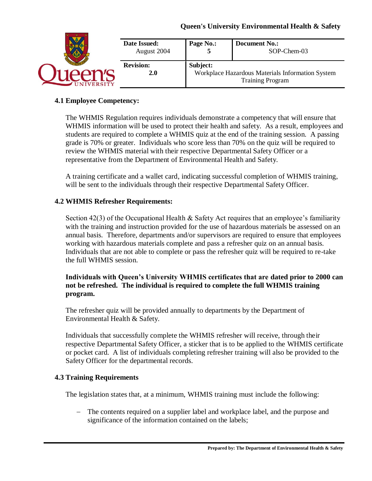|  | Date Issued:<br>August 2004 | Page No.:                                                                               | <b>Document No.:</b><br>SOP-Chem-03 |
|--|-----------------------------|-----------------------------------------------------------------------------------------|-------------------------------------|
|  | <b>Revision:</b><br>2.0     | Subject:<br>Workplace Hazardous Materials Information System<br><b>Training Program</b> |                                     |

### **4.1 Employee Competency:**

The WHMIS Regulation requires individuals demonstrate a competency that will ensure that WHMIS information will be used to protect their health and safety. As a result, employees and students are required to complete a WHMIS quiz at the end of the training session. A passing grade is 70% or greater. Individuals who score less than 70% on the quiz will be required to review the WHMIS material with their respective Departmental Safety Officer or a representative from the Department of Environmental Health and Safety.

A training certificate and a wallet card, indicating successful completion of WHMIS training, will be sent to the individuals through their respective Departmental Safety Officer.

### **4.2 WHMIS Refresher Requirements:**

Section 42(3) of the Occupational Health & Safety Act requires that an employee's familiarity with the training and instruction provided for the use of hazardous materials be assessed on an annual basis. Therefore, departments and/or supervisors are required to ensure that employees working with hazardous materials complete and pass a refresher quiz on an annual basis. Individuals that are not able to complete or pass the refresher quiz will be required to re-take the full WHMIS session.

### **Individuals with Queen's University WHMIS certificates that are dated prior to 2000 can not be refreshed. The individual is required to complete the full WHMIS training program.**

The refresher quiz will be provided annually to departments by the Department of Environmental Health & Safety.

Individuals that successfully complete the WHMIS refresher will receive, through their respective Departmental Safety Officer, a sticker that is to be applied to the WHMIS certificate or pocket card. A list of individuals completing refresher training will also be provided to the Safety Officer for the departmental records.

## **4.3 Training Requirements**

The legislation states that, at a minimum, WHMIS training must include the following:

− The contents required on a supplier label and workplace label, and the purpose and significance of the information contained on the labels;